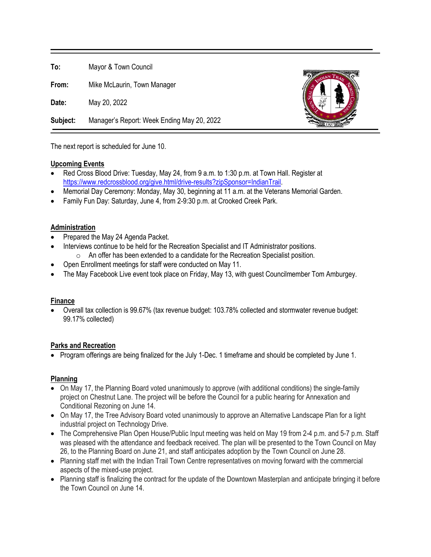**To:** Mayor & Town Council

**From:** Mike McLaurin, Town Manager

**Date:** May 20, 2022

**Subject:** Manager's Report: Week Ending May 20, 2022



The next report is scheduled for June 10.

# **Upcoming Events**

- Red Cross Blood Drive: Tuesday, May 24, from 9 a.m. to 1:30 p.m. at Town Hall. Register at [https://www.redcrossblood.org/give.html/drive-results?zipSponsor=IndianTrail.](https://www.redcrossblood.org/give.html/drive-results?zipSponsor=IndianTrail)
- Memorial Day Ceremony: Monday, May 30, beginning at 11 a.m. at the Veterans Memorial Garden.
- Family Fun Day: Saturday, June 4, from 2-9:30 p.m. at Crooked Creek Park.

#### **Administration**

- Prepared the May 24 Agenda Packet.
- Interviews continue to be held for the Recreation Specialist and IT Administrator positions.
	- o An offer has been extended to a candidate for the Recreation Specialist position.
- Open Enrollment meetings for staff were conducted on May 11.
- The May Facebook Live event took place on Friday, May 13, with guest Councilmember Tom Amburgey.

# **Finance**

• Overall tax collection is 99.67% (tax revenue budget: 103.78% collected and stormwater revenue budget: 99.17% collected)

# **Parks and Recreation**

• Program offerings are being finalized for the July 1-Dec. 1 timeframe and should be completed by June 1.

# **Planning**

- On May 17, the Planning Board voted unanimously to approve (with additional conditions) the single-family project on Chestnut Lane. The project will be before the Council for a public hearing for Annexation and Conditional Rezoning on June 14.
- On May 17, the Tree Advisory Board voted unanimously to approve an Alternative Landscape Plan for a light industrial project on Technology Drive.
- The Comprehensive Plan Open House/Public Input meeting was held on May 19 from 2-4 p.m. and 5-7 p.m. Staff was pleased with the attendance and feedback received. The plan will be presented to the Town Council on May 26, to the Planning Board on June 21, and staff anticipates adoption by the Town Council on June 28.
- Planning staff met with the Indian Trail Town Centre representatives on moving forward with the commercial aspects of the mixed-use project.
- Planning staff is finalizing the contract for the update of the Downtown Masterplan and anticipate bringing it before the Town Council on June 14.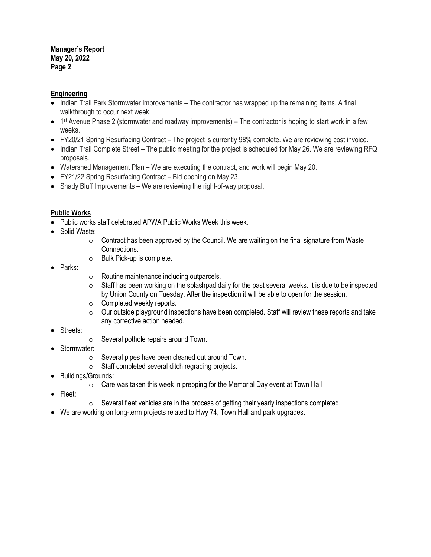#### **Manager's Report May 20, 2022 Page 2**

# **Engineering**

- Indian Trail Park Stormwater Improvements The contractor has wrapped up the remaining items. A final walkthrough to occur next week.
- 1<sup>st</sup> Avenue Phase 2 (stormwater and roadway improvements) The contractor is hoping to start work in a few weeks.
- FY20/21 Spring Resurfacing Contract The project is currently 98% complete. We are reviewing cost invoice.
- Indian Trail Complete Street The public meeting for the project is scheduled for May 26. We are reviewing RFQ proposals.
- Watershed Management Plan We are executing the contract, and work will begin May 20.
- FY21/22 Spring Resurfacing Contract Bid opening on May 23.
- Shady Bluff Improvements We are reviewing the right-of-way proposal.

# **Public Works**

- Public works staff celebrated APWA Public Works Week this week.
- Solid Waste:
	- $\circ$  Contract has been approved by the Council. We are waiting on the final signature from Waste Connections.
	- o Bulk Pick-up is complete.
- Parks:
- $\circ$  Routine maintenance including outparcels.<br> $\circ$  Staff has been working on the splashpad da
- Staff has been working on the splashpad daily for the past several weeks. It is due to be inspected by Union County on Tuesday. After the inspection it will be able to open for the session.
- o Completed weekly reports.
- $\circ$  Our outside playground inspections have been completed. Staff will review these reports and take any corrective action needed.
- Streets:
- $\circ$  Several pothole repairs around Town.
- Stormwater:
	- o Several pipes have been cleaned out around Town.
	- $\circ$  Staff completed several ditch regrading projects.
- Buildings/Grounds:
	- $\circ$  Care was taken this week in prepping for the Memorial Day event at Town Hall.
- Fleet:
- $\circ$  Several fleet vehicles are in the process of getting their yearly inspections completed.
- We are working on long-term projects related to Hwy 74, Town Hall and park upgrades.